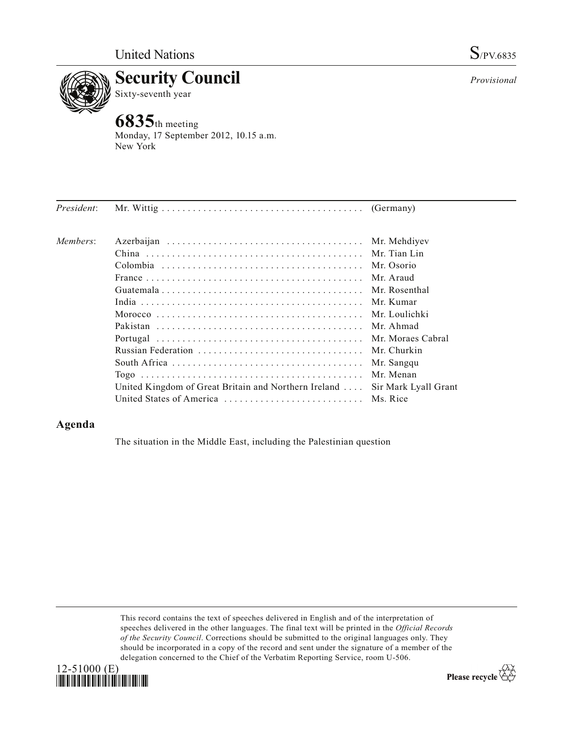

**6835**th meeting Monday, 17 September 2012, 10.15 a.m. New York

| Members:                                             | Mr. Mehdiyev         |
|------------------------------------------------------|----------------------|
|                                                      |                      |
|                                                      | Mr. Tian Lin         |
|                                                      | Mr. Osorio           |
|                                                      | Mr. Araud            |
|                                                      | Mr. Rosenthal        |
|                                                      | Mr. Kumar            |
|                                                      | Mr. Loulichki        |
|                                                      | Mr. Ahmad            |
|                                                      | Mr. Moraes Cabral    |
| Russian Federation                                   | Mr. Churkin          |
|                                                      | Mr. Sangqu           |
|                                                      | Mr. Menan            |
| United Kingdom of Great Britain and Northern Ireland | Sir Mark Lyall Grant |
| United States of America                             | Ms. Rice             |

## **Agenda**

The situation in the Middle East, including the Palestinian question

This record contains the text of speeches delivered in English and of the interpretation of speeches delivered in the other languages. The final text will be printed in the *Official Records of the Security Council*. Corrections should be submitted to the original languages only. They should be incorporated in a copy of the record and sent under the signature of a member of the delegation concerned to the Chief of the Verbatim Reporting Service, room U-506.



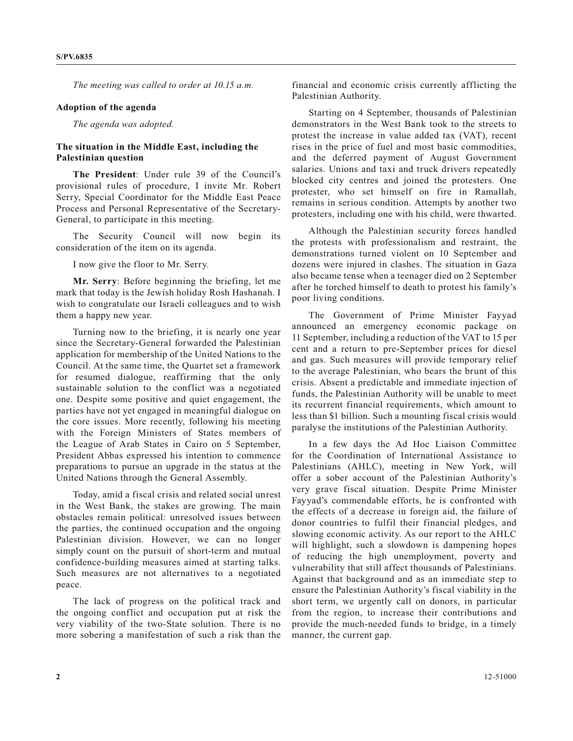*The meeting was called to order at 10.15 a.m.*

## **Adoption of the agenda**

*The agenda was adopted.*

## **The situation in the Middle East, including the Palestinian question**

The President: Under rule 39 of the Council's provisional rules of procedure, I invite Mr. Robert Serry, Special Coordinator for the Middle East Peace Process and Personal Representative of the Secretary-General, to participate in this meeting.

The Security Council will now begin its consideration of the item on its agenda.

I now give the floor to Mr. Serry.

**Mr. Serry**: Before beginning the briefing, let me mark that today is the Jewish holiday Rosh Hashanah. I wish to congratulate our Israeli colleagues and to wish them a happy new year.

Turning now to the briefing, it is nearly one year since the Secretary-General forwarded the Palestinian application for membership of the United Nations to the Council. At the same time, the Quartet set a framework for resumed dialogue, reaffirming that the only sustainable solution to the conflict was a negotiated one. Despite some positive and quiet engagement, the parties have not yet engaged in meaningful dialogue on the core issues. More recently, following his meeting with the Foreign Ministers of States members of the League of Arab States in Cairo on 5 September, President Abbas expressed his intention to commence preparations to pursue an upgrade in the status at the United Nations through the General Assembly.

Today, amid a fiscal crisis and related social unrest in the West Bank, the stakes are growing. The main obstacles remain political: unresolved issues between the parties, the continued occupation and the ongoing Palestinian division. However, we can no longer simply count on the pursuit of short-term and mutual confidence-building measures aimed at starting talks. Such measures are not alternatives to a negotiated peace.

The lack of progress on the political track and the ongoing conflict and occupation put at risk the very viability of the two-State solution. There is no more sobering a manifestation of such a risk than the financial and economic crisis currently afflicting the Palestinian Authority.

Starting on 4 September, thousands of Palestinian demonstrators in the West Bank took to the streets to protest the increase in value added tax (VAT), recent rises in the price of fuel and most basic commodities, and the deferred payment of August Government salaries. Unions and taxi and truck drivers repeatedly blocked city centres and joined the protesters. One protester, who set himself on fire in Ramallah, remains in serious condition. Attempts by another two protesters, including one with his child, were thwarted.

Although the Palestinian security forces handled the protests with professionalism and restraint, the demonstrations turned violent on 10 September and dozens were injured in clashes. The situation in Gaza also became tense when a teenager died on 2 September after he torched himself to death to protest his family's poor living conditions.

The Government of Prime Minister Fayyad announced an emergency economic package on 11 September, including a reduction of the VAT to 15 per cent and a return to pre-September prices for diesel and gas. Such measures will provide temporary relief to the average Palestinian, who bears the brunt of this crisis. Absent a predictable and immediate injection of funds, the Palestinian Authority will be unable to meet its recurrent financial requirements, which amount to less than \$1 billion. Such a mounting fiscal crisis would paralyse the institutions of the Palestinian Authority.

In a few days the Ad Hoc Liaison Committee for the Coordination of International Assistance to Palestinians (AHLC), meeting in New York, will offer a sober account of the Palestinian Authority's very grave fiscal situation. Despite Prime Minister Fayyad's commendable efforts, he is confronted with the effects of a decrease in foreign aid, the failure of donor countries to fulfil their financial pledges, and slowing economic activity. As our report to the AHLC will highlight, such a slowdown is dampening hopes of reducing the high unemployment, poverty and vulnerability that still affect thousands of Palestinians. Against that background and as an immediate step to ensure the Palestinian Authority's fiscal viability in the short term, we urgently call on donors, in particular from the region, to increase their contributions and provide the much-needed funds to bridge, in a timely manner, the current gap.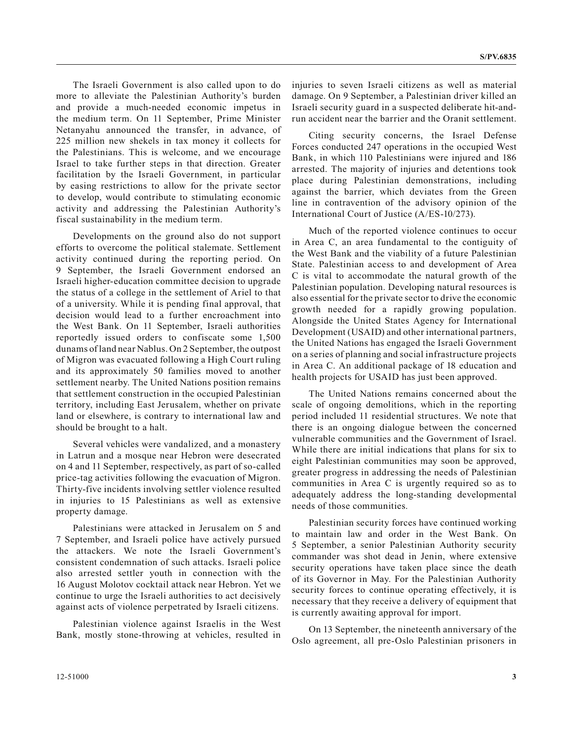The Israeli Government is also called upon to do more to alleviate the Palestinian Authority's burden and provide a much-needed economic impetus in the medium term. On 11 September, Prime Minister Netanyahu announced the transfer, in advance, of 225 million new shekels in tax money it collects for the Palestinians. This is welcome, and we encourage Israel to take further steps in that direction. Greater facilitation by the Israeli Government, in particular by easing restrictions to allow for the private sector to develop, would contribute to stimulating economic activity and addressing the Palestinian Authority's fiscal sustainability in the medium term.

Developments on the ground also do not support efforts to overcome the political stalemate. Settlement activity continued during the reporting period. On 9 September, the Israeli Government endorsed an Israeli higher-education committee decision to upgrade the status of a college in the settlement of Ariel to that of a university. While it is pending final approval, that decision would lead to a further encroachment into the West Bank. On 11 September, Israeli authorities reportedly issued orders to confiscate some 1,500 dunams of land near Nablus. On 2 September, the outpost of Migron was evacuated following a High Court ruling and its approximately 50 families moved to another settlement nearby. The United Nations position remains that settlement construction in the occupied Palestinian territory, including East Jerusalem, whether on private land or elsewhere, is contrary to international law and should be brought to a halt.

Several vehicles were vandalized, and a monastery in Latrun and a mosque near Hebron were desecrated on 4 and 11 September, respectively, as part of so-called price-tag activities following the evacuation of Migron. Thirty-five incidents involving settler violence resulted in injuries to 15 Palestinians as well as extensive property damage.

Palestinians were attacked in Jerusalem on 5 and 7 September, and Israeli police have actively pursued the attackers. We note the Israeli Government's consistent condemnation of such attacks. Israeli police also arrested settler youth in connection with the 16 August Molotov cocktail attack near Hebron. Yet we continue to urge the Israeli authorities to act decisively against acts of violence perpetrated by Israeli citizens.

Palestinian violence against Israelis in the West Bank, mostly stone-throwing at vehicles, resulted in

12-51000 **3**

injuries to seven Israeli citizens as well as material damage. On 9 September, a Palestinian driver killed an Israeli security guard in a suspected deliberate hit-andrun accident near the barrier and the Oranit settlement.

Citing security concerns, the Israel Defense Forces conducted 247 operations in the occupied West Bank, in which 110 Palestinians were injured and 186 arrested. The majority of injuries and detentions took place during Palestinian demonstrations, including against the barrier, which deviates from the Green line in contravention of the advisory opinion of the International Court of Justice (A/ES-10/273).

Much of the reported violence continues to occur in Area C, an area fundamental to the contiguity of the West Bank and the viability of a future Palestinian State. Palestinian access to and development of Area C is vital to accommodate the natural growth of the Palestinian population. Developing natural resources is also essential for the private sector to drive the economic growth needed for a rapidly growing population. Alongside the United States Agency for International Development (USAID) and other international partners, the United Nations has engaged the Israeli Government on a series of planning and social infrastructure projects in Area C. An additional package of 18 education and health projects for USAID has just been approved.

The United Nations remains concerned about the scale of ongoing demolitions, which in the reporting period included 11 residential structures. We note that there is an ongoing dialogue between the concerned vulnerable communities and the Government of Israel. While there are initial indications that plans for six to eight Palestinian communities may soon be approved, greater progress in addressing the needs of Palestinian communities in Area C is urgently required so as to adequately address the long-standing developmental needs of those communities.

Palestinian security forces have continued working to maintain law and order in the West Bank. On 5 September, a senior Palestinian Authority security commander was shot dead in Jenin, where extensive security operations have taken place since the death of its Governor in May. For the Palestinian Authority security forces to continue operating effectively, it is necessary that they receive a delivery of equipment that is currently awaiting approval for import.

On 13 September, the nineteenth anniversary of the Oslo agreement, all pre-Oslo Palestinian prisoners in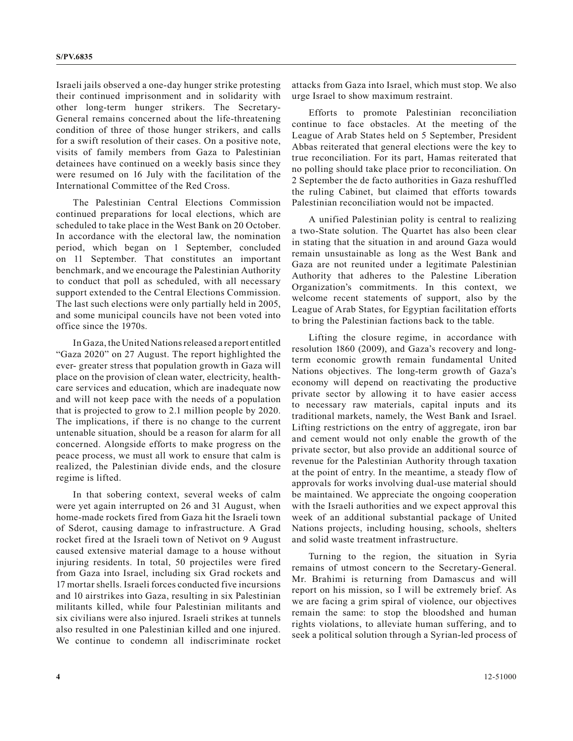Israeli jails observed a one-day hunger strike protesting their continued imprisonment and in solidarity with other long-term hunger strikers. The Secretary-General remains concerned about the life-threatening condition of three of those hunger strikers, and calls for a swift resolution of their cases. On a positive note, visits of family members from Gaza to Palestinian detainees have continued on a weekly basis since they were resumed on 16 July with the facilitation of the International Committee of the Red Cross.

The Palestinian Central Elections Commission continued preparations for local elections, which are scheduled to take place in the West Bank on 20 October. In accordance with the electoral law, the nomination period, which began on 1 September, concluded on 11 September. That constitutes an important benchmark, and we encourage the Palestinian Authority to conduct that poll as scheduled, with all necessary support extended to the Central Elections Commission. The last such elections were only partially held in 2005, and some municipal councils have not been voted into office since the 1970s.

In Gaza, the United Nations released a report entitled "Gaza 2020" on 27 August. The report highlighted the ever- greater stress that population growth in Gaza will place on the provision of clean water, electricity, healthcare services and education, which are inadequate now and will not keep pace with the needs of a population that is projected to grow to 2.1 million people by 2020. The implications, if there is no change to the current untenable situation, should be a reason for alarm for all concerned. Alongside efforts to make progress on the peace process, we must all work to ensure that calm is realized, the Palestinian divide ends, and the closure regime is lifted.

In that sobering context, several weeks of calm were yet again interrupted on 26 and 31 August, when home-made rockets fired from Gaza hit the Israeli town of Sderot, causing damage to infrastructure. A Grad rocket fired at the Israeli town of Netivot on 9 August caused extensive material damage to a house without injuring residents. In total, 50 projectiles were fired from Gaza into Israel, including six Grad rockets and 17 mortar shells. Israeli forces conducted five incursions and 10 airstrikes into Gaza, resulting in six Palestinian militants killed, while four Palestinian militants and six civilians were also injured. Israeli strikes at tunnels also resulted in one Palestinian killed and one injured. We continue to condemn all indiscriminate rocket

attacks from Gaza into Israel, which must stop. We also urge Israel to show maximum restraint.

Efforts to promote Palestinian reconciliation continue to face obstacles. At the meeting of the League of Arab States held on 5 September, President Abbas reiterated that general elections were the key to true reconciliation. For its part, Hamas reiterated that no polling should take place prior to reconciliation. On 2 September the de facto authorities in Gaza reshuffled the ruling Cabinet, but claimed that efforts towards Palestinian reconciliation would not be impacted.

A unified Palestinian polity is central to realizing a two-State solution. The Quartet has also been clear in stating that the situation in and around Gaza would remain unsustainable as long as the West Bank and Gaza are not reunited under a legitimate Palestinian Authority that adheres to the Palestine Liberation Organization's commitments. In this context, we welcome recent statements of support, also by the League of Arab States, for Egyptian facilitation efforts to bring the Palestinian factions back to the table.

Lifting the closure regime, in accordance with resolution 1860 (2009), and Gaza's recovery and longterm economic growth remain fundamental United Nations objectives. The long-term growth of Gaza's economy will depend on reactivating the productive private sector by allowing it to have easier access to necessary raw materials, capital inputs and its traditional markets, namely, the West Bank and Israel. Lifting restrictions on the entry of aggregate, iron bar and cement would not only enable the growth of the private sector, but also provide an additional source of revenue for the Palestinian Authority through taxation at the point of entry. In the meantime, a steady flow of approvals for works involving dual-use material should be maintained. We appreciate the ongoing cooperation with the Israeli authorities and we expect approval this week of an additional substantial package of United Nations projects, including housing, schools, shelters and solid waste treatment infrastructure.

Turning to the region, the situation in Syria remains of utmost concern to the Secretary-General. Mr. Brahimi is returning from Damascus and will report on his mission, so I will be extremely brief. As we are facing a grim spiral of violence, our objectives remain the same: to stop the bloodshed and human rights violations, to alleviate human suffering, and to seek a political solution through a Syrian-led process of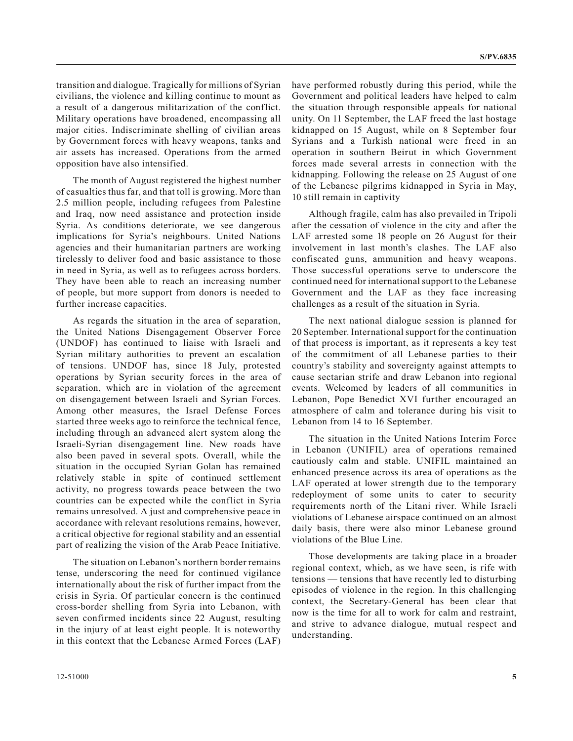transition and dialogue. Tragically for millions of Syrian civilians, the violence and killing continue to mount as a result of a dangerous militarization of the conflict. Military operations have broadened, encompassing all major cities. Indiscriminate shelling of civilian areas by Government forces with heavy weapons, tanks and air assets has increased. Operations from the armed opposition have also intensified.

The month of August registered the highest number of casualties thus far, and that toll is growing. More than 2.5 million people, including refugees from Palestine and Iraq, now need assistance and protection inside Syria. As conditions deteriorate, we see dangerous implications for Syria's neighbours. United Nations agencies and their humanitarian partners are working tirelessly to deliver food and basic assistance to those in need in Syria, as well as to refugees across borders. They have been able to reach an increasing number of people, but more support from donors is needed to further increase capacities.

As regards the situation in the area of separation, the United Nations Disengagement Observer Force (UNDOF) has continued to liaise with Israeli and Syrian military authorities to prevent an escalation of tensions. UNDOF has, since 18 July, protested operations by Syrian security forces in the area of separation, which are in violation of the agreement on disengagement between Israeli and Syrian Forces. Among other measures, the Israel Defense Forces started three weeks ago to reinforce the technical fence, including through an advanced alert system along the Israeli-Syrian disengagement line. New roads have also been paved in several spots. Overall, while the situation in the occupied Syrian Golan has remained relatively stable in spite of continued settlement activity, no progress towards peace between the two countries can be expected while the conflict in Syria remains unresolved. A just and comprehensive peace in accordance with relevant resolutions remains, however, a critical objective for regional stability and an essential part of realizing the vision of the Arab Peace Initiative.

The situation on Lebanon's northern border remains tense, underscoring the need for continued vigilance internationally about the risk of further impact from the crisis in Syria. Of particular concern is the continued cross-border shelling from Syria into Lebanon, with seven confirmed incidents since 22 August, resulting in the injury of at least eight people. It is noteworthy in this context that the Lebanese Armed Forces (LAF)

have performed robustly during this period, while the Government and political leaders have helped to calm the situation through responsible appeals for national unity. On 11 September, the LAF freed the last hostage kidnapped on 15 August, while on 8 September four Syrians and a Turkish national were freed in an operation in southern Beirut in which Government forces made several arrests in connection with the kidnapping. Following the release on 25 August of one of the Lebanese pilgrims kidnapped in Syria in May, 10 still remain in captivity

Although fragile, calm has also prevailed in Tripoli after the cessation of violence in the city and after the LAF arrested some 18 people on 26 August for their involvement in last month's clashes. The LAF also confiscated guns, ammunition and heavy weapons. Those successful operations serve to underscore the continued need for international support to the Lebanese Government and the LAF as they face increasing challenges as a result of the situation in Syria.

The next national dialogue session is planned for 20 September. International support for the continuation of that process is important, as it represents a key test of the commitment of all Lebanese parties to their country's stability and sovereignty against attempts to cause sectarian strife and draw Lebanon into regional events. Welcomed by leaders of all communities in Lebanon, Pope Benedict XVI further encouraged an atmosphere of calm and tolerance during his visit to Lebanon from 14 to 16 September.

The situation in the United Nations Interim Force in Lebanon (UNIFIL) area of operations remained cautiously calm and stable. UNIFIL maintained an enhanced presence across its area of operations as the LAF operated at lower strength due to the temporary redeployment of some units to cater to security requirements north of the Litani river. While Israeli violations of Lebanese airspace continued on an almost daily basis, there were also minor Lebanese ground violations of the Blue Line.

Those developments are taking place in a broader regional context, which, as we have seen, is rife with tensions — tensions that have recently led to disturbing episodes of violence in the region. In this challenging context, the Secretary-General has been clear that now is the time for all to work for calm and restraint, and strive to advance dialogue, mutual respect and understanding.